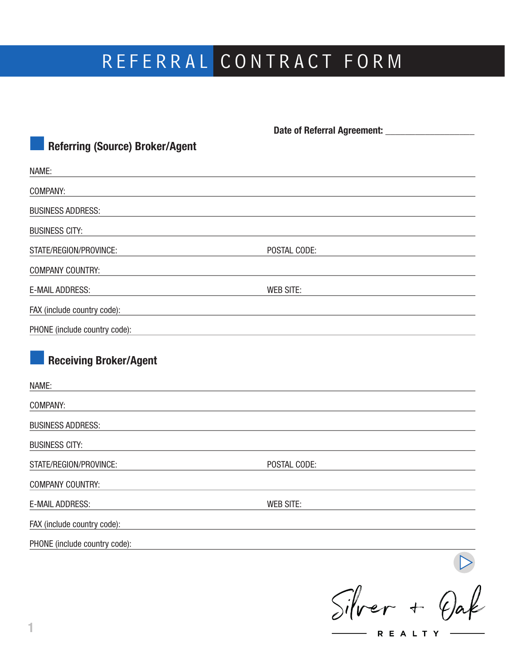# REFERRAL CONTRACT FORM

| <b>Referring (Source) Broker/Agent</b>                                                      |                  |  |
|---------------------------------------------------------------------------------------------|------------------|--|
| NAME:                                                                                       |                  |  |
| COMPANY:                                                                                    |                  |  |
| <b>BUSINESS ADDRESS:</b>                                                                    |                  |  |
| <b>BUSINESS CITY:</b>                                                                       |                  |  |
| STATE/REGION/PROVINCE:                                                                      | POSTAL CODE:     |  |
| <b>COMPANY COUNTRY:</b>                                                                     |                  |  |
| <b>E-MAIL ADDRESS:</b><br><u> 1980 - Johann Barn, mars an t-Amerikaansk ferskeizer (</u>    | <b>WEB SITE:</b> |  |
| FAX (include country code):                                                                 |                  |  |
| PHONE (include country code):<br><u> 1980 - Johann Barn, amerikansk politiker (d. 1980)</u> |                  |  |
| <b>Receiving Broker/Agent</b><br>NAME:                                                      |                  |  |
| COMPANY:                                                                                    |                  |  |
| <b>BUSINESS ADDRESS:</b>                                                                    |                  |  |
| <b>BUSINESS CITY:</b>                                                                       |                  |  |
| STATE/REGION/PROVINCE:                                                                      | POSTAL CODE:     |  |
| <b>COMPANY COUNTRY:</b>                                                                     |                  |  |
| <b>E-MAIL ADDRESS:</b>                                                                      | <b>WEB SITE:</b> |  |
| FAX (include country code):                                                                 |                  |  |
| PHONE (include country code):                                                               |                  |  |
|                                                                                             |                  |  |

 $Silver + Qak$